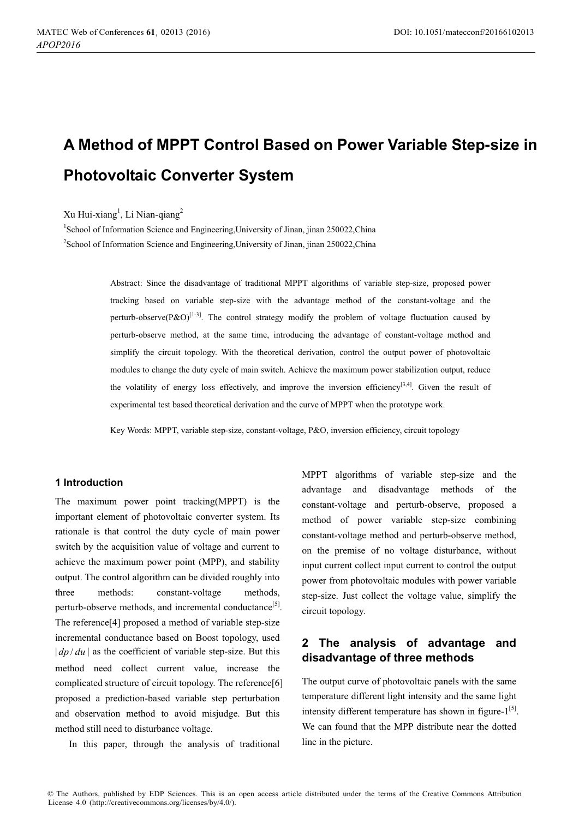# **A Method of MPPT Control Based on Power Variable Step-size in Photovoltaic Converter System**

Xu Hui-xiang<sup>1</sup>, Li Nian-qiang<sup>2</sup>

<sup>1</sup>School of Information Science and Engineering, University of Jinan, jinan 250022, China <sup>2</sup>School of Information Science and Engineering, University of Jinan, jinan 250022, China

> Abstract: Since the disadvantage of traditional MPPT algorithms of variable step-size, proposed power tracking based on variable step-size with the advantage method of the constant-voltage and the perturb-observe(P&O)<sup>[1-3]</sup>. The control strategy modify the problem of voltage fluctuation caused by perturb-observe method, at the same time, introducing the advantage of constant-voltage method and simplify the circuit topology. With the theoretical derivation, control the output power of photovoltaic modules to change the duty cycle of main switch. Achieve the maximum power stabilization output, reduce the volatility of energy loss effectively, and improve the inversion efficiency<sup>[3,4]</sup>. Given the result of experimental test based theoretical derivation and the curve of MPPT when the prototype work.

Key Words: MPPT, variable step-size, constant-voltage, P&O, inversion efficiency, circuit topology

#### **1 Introduction**

The maximum power point tracking(MPPT) is the important element of photovoltaic converter system. Its rationale is that control the duty cycle of main power switch by the acquisition value of voltage and current to achieve the maximum power point (MPP), and stability output. The control algorithm can be divided roughly into three methods: constant-voltage methods, perturb-observe methods, and incremental conductance<sup>[5]</sup>. The reference[4] proposed a method of variable step-size incremental conductance based on Boost topology, used  $|dp / du|$  as the coefficient of variable step-size. But this method need collect current value, increase the complicated structure of circuit topology. The reference[6] proposed a prediction-based variable step perturbation and observation method to avoid misjudge. But this method still need to disturbance voltage.

In this paper, through the analysis of traditional

MPPT algorithms of variable step-size and the advantage and disadvantage methods of the constant-voltage and perturb-observe, proposed a method of power variable step-size combining constant-voltage method and perturb-observe method, on the premise of no voltage disturbance, without input current collect input current to control the output power from photovoltaic modules with power variable step-size. Just collect the voltage value, simplify the circuit topology.

## **2 The analysis of advantage and disadvantage of three methods**

The output curve of photovoltaic panels with the same temperature different light intensity and the same light intensity different temperature has shown in figure- $1^{[5]}$ . We can found that the MPP distribute near the dotted line in the picture.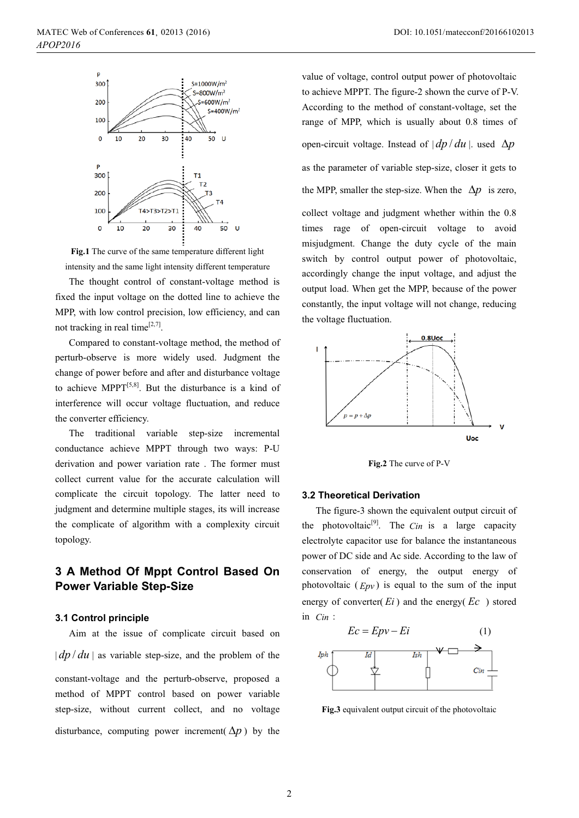

**Fig.1** The curve of the same temperature different light intensity and the same light intensity different temperature

The thought control of constant-voltage method is fixed the input voltage on the dotted line to achieve the MPP, with low control precision, low efficiency, and can not tracking in real time $[2,7]$ .

Compared to constant-voltage method, the method of perturb-observe is more widely used. Judgment the change of power before and after and disturbance voltage to achieve MPPT $[5,8]$ . But the disturbance is a kind of interference will occur voltage fluctuation, and reduce the converter efficiency.

The traditional variable step-size incremental conductance achieve MPPT through two ways: P-U derivation and power variation rate . The former must collect current value for the accurate calculation will complicate the circuit topology. The latter need to judgment and determine multiple stages, its will increase the complicate of algorithm with a complexity circuit topology.

# **3 A Method Of Mppt Control Based On Power Variable Step-Size**

#### **3.1 Control principle**

Aim at the issue of complicate circuit based on  $|dp/du|$  as variable step-size, and the problem of the constant-voltage and the perturb-observe, proposed a method of MPPT control based on power variable step-size, without current collect, and no voltage disturbance, computing power increment( $\Delta p$ ) by the

value of voltage, control output power of photovoltaic to achieve MPPT. The figure-2 shown the curve of P-V. According to the method of constant-voltage, set the range of MPP, which is usually about 0.8 times of open-circuit voltage. Instead of  $|dp/du|$ . used  $\Delta p$ as the parameter of variable step-size, closer it gets to the MPP, smaller the step-size. When the  $\Delta p$  is zero, collect voltage and judgment whether within the 0.8 times rage of open-circuit voltage to avoid misjudgment. Change the duty cycle of the main switch by control output power of photovoltaic, accordingly change the input voltage, and adjust the output load. When get the MPP, because of the power constantly, the input voltage will not change, reducing the voltage fluctuation.



**Fig.2** The curve of P-V

#### **3.2 Theoretical Derivation**

The figure-3 shown the equivalent output circuit of the photovoltaic<sup>[9]</sup>. The *Cin* is a large capacity electrolyte capacitor use for balance the instantaneous power of DC side and Ac side. According to the law of conservation of energy, the output energy of photovoltaic  $(Epv)$  is equal to the sum of the input energy of converter( $E_i$ ) and the energy( $Ec$ ) stored in *Cin* :



**Fig.3** equivalent output circuit of the photovoltaic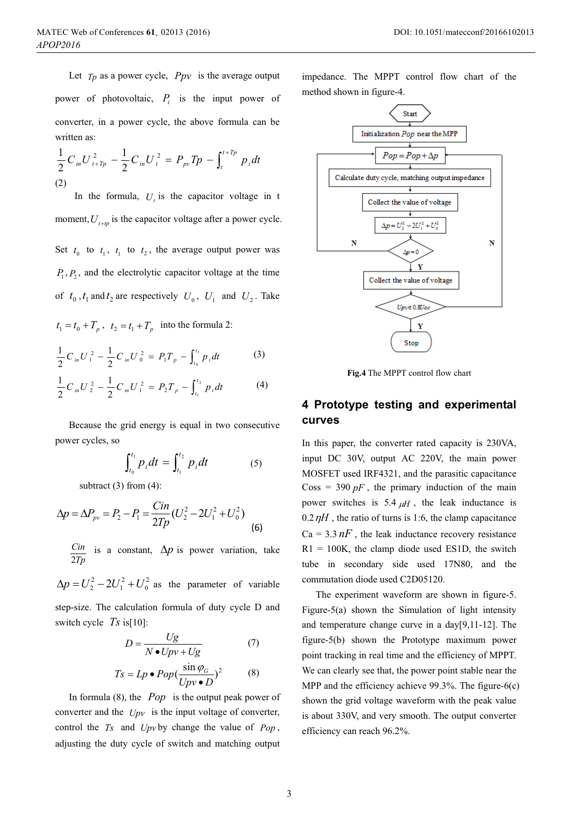Let  $T_p$  as a power cycle,  $Ppv$  is the average output power of photovoltaic,  $P_i$  is the input power of converter, in a power cycle, the above formula can be written as:

$$
\frac{1}{2}C_{in}U_{t+Tp}^2 - \frac{1}{2}C_{in}U_t^2 = P_{pv}Tp - \int_t^{t+Tp} p_i dt
$$
\n(2)

In the formula,  $U<sub>i</sub>$  is the capacitor voltage in t moment,  $U_{t+m}$  is the capacitor voltage after a power cycle. Set  $t_0$  to  $t_1$ ,  $t_1$  to  $t_2$ , the average output power was  $P_1, P_2$ , and the electrolytic capacitor voltage at the time of  $t_0$ ,  $t_1$  and  $t_2$  are respectively  $U_0$ ,  $U_1$  and  $U_2$ . Take

 $t_1 = t_0 + T_p$ ,  $t_2 = t_1 + T_p$  into the formula 2:

$$
\frac{1}{2}C_{in}U_1^2 - \frac{1}{2}C_{in}U_0^2 = P_1T_p - \int_{t_0}^{t_1} p_i dt
$$
 (3)

$$
\frac{1}{2}C_{in}U_{2}^{2}-\frac{1}{2}C_{in}U_{1}^{2}=P_{2}T_{p}-\int_{t_{1}}^{t_{2}}p_{i}dt
$$
\n(4)

Because the grid energy is equal in two consecutive power cycles, so

$$
\int_{t_0}^{t_1} p_i dt = \int_{t_1}^{t_2} p_i dt
$$
 (5)

subtract  $(3)$  from  $(4)$ :

$$
\Delta p = \Delta P_{pv} = P_2 - P_1 = \frac{Cin}{2Tp} (U_2^2 - 2U_1^2 + U_0^2)
$$
\n(6)

*Tp Cin* 2 is a constant,  $\Delta p$  is power variation, take

2  $\boldsymbol{0}$ 2  $\Delta p = U_2^2 - 2U_1^2 + U_0^2$  as the parameter of variable step-size. The calculation formula of duty cycle D and switch cycle *Ts* is[10]:

$$
D = \frac{Ug}{N \bullet Upv + Ug}
$$
(7)  

$$
Ts = Lp \bullet Pop(\frac{\sin \varphi_G}{Upv \bullet D})^2
$$
(8)

In formula (8), the *Pop* is the output peak power of converter and the *Upv* is the input voltage of converter, control the *Ts* and *Upv* by change the value of *Pop* , adjusting the duty cycle of switch and matching output

impedance. The MPPT control flow chart of the method shown in figure-4.



**Fig.4** The MPPT control flow chart

## **4 Prototype testing and experimental curves**

In this paper, the converter rated capacity is 230VA, input DC 30V, output AC 220V, the main power MOSFET used IRF4321, and the parasitic capacitance  $\cos s = 390 pF$ , the primary induction of the main power switches is 5.4  $\mu$ *H*, the leak inductance is  $0.2 \, \eta H$ , the ratio of turns is 1:6, the clamp capacitance  $Ca = 3.3 nF$ , the leak inductance recovery resistance  $R1 = 100K$ , the clamp diode used ES1D, the switch tube in secondary side used 17N80, and the commutation diode used C2D05120.

The experiment waveform are shown in figure-5. Figure-5(a) shown the Simulation of light intensity and temperature change curve in a day[9,11-12]. The figure-5(b) shown the Prototype maximum power point tracking in real time and the efficiency of MPPT. We can clearly see that, the power point stable near the MPP and the efficiency achieve 99.3%. The figure-6(c) shown the grid voltage waveform with the peak value is about 330V, and very smooth. The output converter efficiency can reach 96.2%.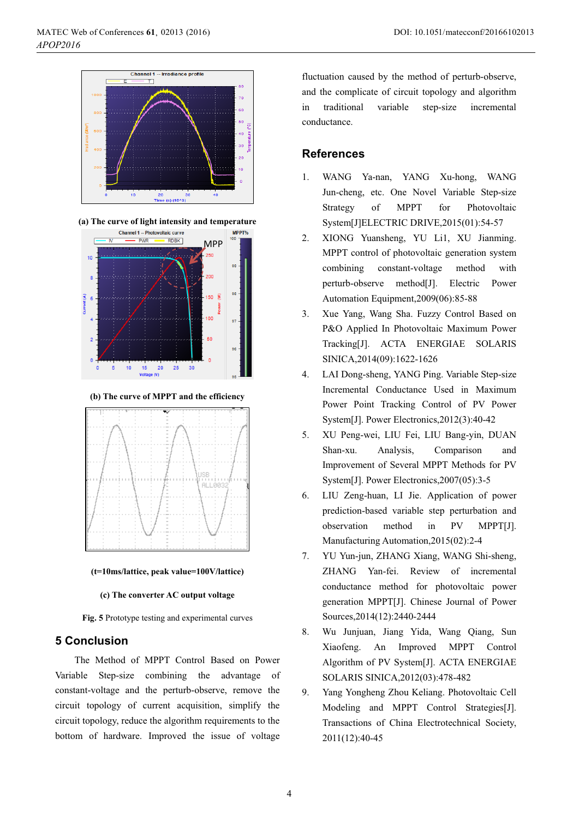

**(a) The curve of light intensity and temperature** 



**(b) The curve of MPPT and the efficiency** 



**(t=10ms/lattice, peak value=100V/lattice)** 

#### **(c) The converter AC output voltage**

**Fig. 5** Prototype testing and experimental curves

### **5 Conclusion**

The Method of MPPT Control Based on Power Variable Step-size combining the advantage of constant-voltage and the perturb-observe, remove the circuit topology of current acquisition, simplify the circuit topology, reduce the algorithm requirements to the bottom of hardware. Improved the issue of voltage

fluctuation caused by the method of perturb-observe, and the complicate of circuit topology and algorithm in traditional variable step-size incremental conductance.

## **References**

- 1. WANG Ya-nan, YANG Xu-hong, WANG Jun-cheng, etc. One Novel Variable Step-size Strategy of MPPT for Photovoltaic System[J]ELECTRIC DRIVE,2015(01):54-57
- 2. XIONG Yuansheng, YU Li1, XU Jianming. MPPT control of photovoltaic generation system combining constant-voltage method with perturb-observe method[J]. Electric Power Automation Equipment,2009(06):85-88
- 3. Xue Yang, Wang Sha. Fuzzy Control Based on P&O Applied In Photovoltaic Maximum Power Tracking[J]. ACTA ENERGIAE SOLARIS SINICA,2014(09):1622-1626
- 4. LAI Dong-sheng, YANG Ping. Variable Step-size Incremental Conductance Used in Maximum Power Point Tracking Control of PV Power System[J]. Power Electronics,2012(3):40-42
- 5. XU Peng-wei, LIU Fei, LIU Bang-yin, DUAN Shan-xu. Analysis, Comparison and Improvement of Several MPPT Methods for PV System[J]. Power Electronics,2007(05):3-5
- 6. LIU Zeng-huan, LI Jie. Application of power prediction-based variable step perturbation and observation method in PV MPPT[J]. Manufacturing Automation,2015(02):2-4
- 7. YU Yun-jun, ZHANG Xiang, WANG Shi-sheng, ZHANG Yan-fei. Review of incremental conductance method for photovoltaic power generation MPPT[J]. Chinese Journal of Power Sources,2014(12):2440-2444
- 8. Wu Junjuan, Jiang Yida, Wang Qiang, Sun Xiaofeng. An Improved MPPT Control Algorithm of PV System[J]. ACTA ENERGIAE SOLARIS SINICA,2012(03):478-482
- 9. Yang Yongheng Zhou Keliang. Photovoltaic Cell Modeling and MPPT Control Strategies[J]. Transactions of China Electrotechnical Society, 2011(12):40-45